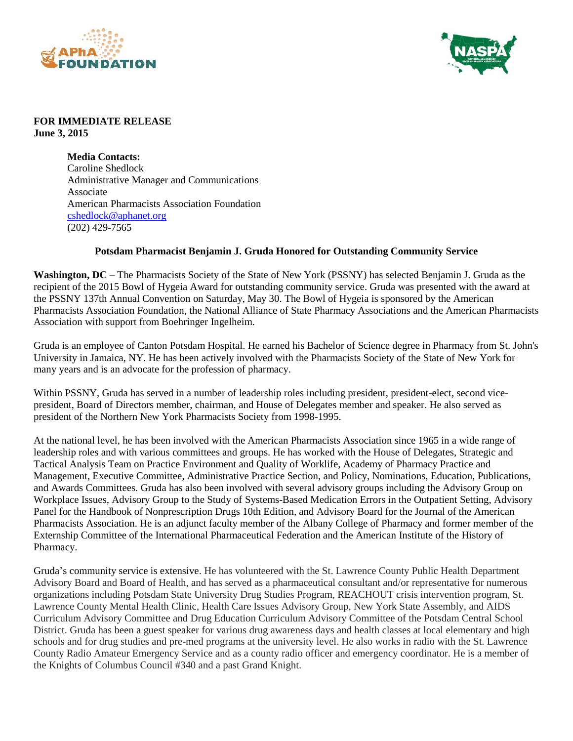



## **FOR IMMEDIATE RELEASE June 3, 2015**

**Media Contacts:** Caroline Shedlock Administrative Manager and Communications Associate American Pharmacists Association Foundation [cshedlock@aphanet.org](mailto:cshedlock@aphanet.org) (202) 429-7565

## **Potsdam Pharmacist Benjamin J. Gruda Honored for Outstanding Community Service**

**Washington, DC –** The Pharmacists Society of the State of New York (PSSNY) has selected Benjamin J. Gruda as the recipient of the 2015 Bowl of Hygeia Award for outstanding community service. Gruda was presented with the award at the PSSNY 137th Annual Convention on Saturday, May 30. The Bowl of Hygeia is sponsored by the American Pharmacists Association Foundation, the National Alliance of State Pharmacy Associations and the American Pharmacists Association with support from Boehringer Ingelheim.

Gruda is an employee of Canton Potsdam Hospital. He earned his Bachelor of Science degree in Pharmacy from St. John's University in Jamaica, NY. He has been actively involved with the Pharmacists Society of the State of New York for many years and is an advocate for the profession of pharmacy.

Within PSSNY, Gruda has served in a number of leadership roles including president, president-elect, second vicepresident, Board of Directors member, chairman, and House of Delegates member and speaker. He also served as president of the Northern New York Pharmacists Society from 1998-1995.

At the national level, he has been involved with the American Pharmacists Association since 1965 in a wide range of leadership roles and with various committees and groups. He has worked with the House of Delegates, Strategic and Tactical Analysis Team on Practice Environment and Quality of Worklife, Academy of Pharmacy Practice and Management, Executive Committee, Administrative Practice Section, and Policy, Nominations, Education, Publications, and Awards Committees. Gruda has also been involved with several advisory groups including the Advisory Group on Workplace Issues, Advisory Group to the Study of Systems-Based Medication Errors in the Outpatient Setting, Advisory Panel for the Handbook of Nonprescription Drugs 10th Edition, and Advisory Board for the Journal of the American Pharmacists Association. He is an adjunct faculty member of the Albany College of Pharmacy and former member of the Externship Committee of the International Pharmaceutical Federation and the American Institute of the History of Pharmacy.

Gruda's community service is extensive. He has volunteered with the St. Lawrence County Public Health Department Advisory Board and Board of Health, and has served as a pharmaceutical consultant and/or representative for numerous organizations including Potsdam State University Drug Studies Program, REACHOUT crisis intervention program, St. Lawrence County Mental Health Clinic, Health Care Issues Advisory Group, New York State Assembly, and AIDS Curriculum Advisory Committee and Drug Education Curriculum Advisory Committee of the Potsdam Central School District. Gruda has been a guest speaker for various drug awareness days and health classes at local elementary and high schools and for drug studies and pre-med programs at the university level. He also works in radio with the St. Lawrence County Radio Amateur Emergency Service and as a county radio officer and emergency coordinator. He is a member of the Knights of Columbus Council #340 and a past Grand Knight.